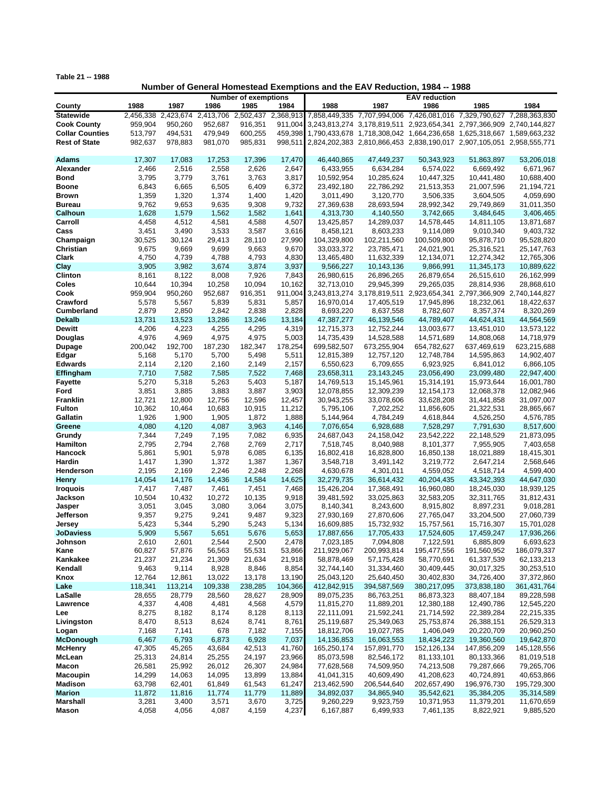**Table 21 -- 1988**

## **Number of General Homestead Exemptions and the EAV Reduction, 1984 -- 1988**

|                        |         | <b>Number of exemptions</b> |                               |                     |         | <b>EAV</b> reduction                                                          |             |                                                                       |             |              |
|------------------------|---------|-----------------------------|-------------------------------|---------------------|---------|-------------------------------------------------------------------------------|-------------|-----------------------------------------------------------------------|-------------|--------------|
| County                 | 1988    | 1987                        | 1986                          | 1985                | 1984    | 1988                                                                          | 1987        | 1986                                                                  | 1985        | 1984         |
| <b>Statewide</b>       |         |                             | 2,456,338 2,423,674 2,413,706 | 2,502,437 2,368,913 |         |                                                                               |             | 7,858,449,335 7,707,994,006 7,426,081,016 7,329,790,627 7,288,363,830 |             |              |
| <b>Cook County</b>     | 959,904 | 950,260                     | 952,687                       | 916,351             | 911,004 |                                                                               |             | 3,243,813,274 3,178,819,511 2,923,654,341 2,797,366,909 2,740,144,827 |             |              |
| <b>Collar Counties</b> | 513,797 | 494,531                     | 479,949                       | 600,255             |         | 459,398 1,790,433,678 1,718,308,042 1,664,236,658 1,625,318,667 1,589,663,232 |             |                                                                       |             |              |
| <b>Rest of State</b>   |         |                             |                               |                     |         |                                                                               |             |                                                                       |             |              |
|                        | 982,637 | 978,883                     | 981,070                       | 985,831             |         | 998,511 2,824,202,383 2,810,866,453 2,838,190,017 2,907,105,051 2,958,555,771 |             |                                                                       |             |              |
|                        |         |                             |                               |                     |         |                                                                               |             |                                                                       |             |              |
| Adams                  | 17,307  | 17,083                      | 17,253                        | 17,396              | 17,470  | 46,440,865                                                                    | 47,449,237  | 50,343,923                                                            | 51,863,897  | 53.206.018   |
| Alexander              | 2,466   | 2,516                       | 2,558                         | 2,626               | 2,647   | 6,433,955                                                                     | 6,634,284   | 6,574,022                                                             | 6,669,492   | 6,671,967    |
| <b>Bond</b>            | 3,795   | 3,779                       | 3,761                         | 3,763               | 3,817   | 10,592,954                                                                    | 10,285,624  | 10,447,325                                                            | 10,441,480  | 10,688,400   |
| <b>Boone</b>           | 6,843   | 6,665                       | 6,505                         | 6,409               | 6,372   | 23,492,180                                                                    | 22,786,292  | 21,513,353                                                            | 21,007,596  | 21,194,721   |
| <b>Brown</b>           | 1,359   | 1,320                       | 1,374                         | 1,400               | 1,420   | 3,011,490                                                                     | 3,120,770   | 3,506,335                                                             | 3,604,505   | 4,059,690    |
| <b>Bureau</b>          | 9,762   | 9,653                       | 9,635                         | 9,308               | 9,732   | 27,369,638                                                                    | 28,693,594  | 28,992,342                                                            | 29,749,869  | 31,011,350   |
| Calhoun                | 1,628   | 1,579                       | 1,562                         | 1,582               | 1,641   | 4,313,730                                                                     | 4,140,550   | 3,742,665                                                             | 3,484,645   | 3,406,465    |
| Carroll                | 4,458   | 4,512                       | 4,581                         | 4,588               | 4,507   | 13,425,857                                                                    | 14,289,037  | 14,578,445                                                            | 14,811,105  | 13,871,687   |
| Cass                   | 3,451   | 3,490                       | 3,533                         | 3,587               | 3,616   | 8,458,121                                                                     | 8,603,233   | 9,114,089                                                             | 9,010,340   | 9,403,732    |
|                        |         |                             |                               |                     |         |                                                                               |             |                                                                       |             |              |
| Champaign              | 30,525  | 30,124                      | 29,413                        | 28,110              | 27,990  | 104,329,800                                                                   | 102,211,560 | 100,509,800                                                           | 95,878,710  | 95,528,820   |
| Christian              | 9,675   | 9,669                       | 9,699                         | 9,663               | 9,670   | 33,033,372                                                                    | 23,785,471  | 24,021,901                                                            | 25,316,521  | 25, 147, 763 |
| Clark                  | 4,750   | 4,739                       | 4,788                         | 4,793               | 4,830   | 13,465,480                                                                    | 11,632,339  | 12,134,071                                                            | 12,274,342  | 12,765,306   |
| Clay                   | 3,905   | 3,982                       | 3,674                         | 3,874               | 3,937   | 9,566,227                                                                     | 10,143,136  | 9,866,991                                                             | 11,345,173  | 10,889,622   |
| Clinton                | 8,161   | 8,122                       | 8,008                         | 7,926               | 7,843   | 26,980,615                                                                    | 26,896,265  | 26,879,654                                                            | 26,515,610  | 26,162,999   |
| Coles                  | 10,644  | 10,394                      | 10,258                        | 10,094              | 10,162  | 32,713,010                                                                    | 29,945,399  | 29,265,035                                                            | 28,814,936  | 28,868,610   |
| Cook                   | 959,904 | 950,260                     | 952,687                       | 916,351             | 911,004 |                                                                               |             | 3,243,813,274 3,178,819,511 2,923,654,341 2,797,366,909 2,740,144,827 |             |              |
| Crawford               | 5,578   | 5,567                       | 5,839                         | 5,831               | 5,857   | 16,970,014                                                                    | 17,405,519  | 17,945,896                                                            | 18,232,061  | 18,422,637   |
| <b>Cumberland</b>      | 2,879   | 2,850                       | 2,842                         | 2,838               | 2,828   | 8,693,220                                                                     | 8,637,558   | 8,782,607                                                             | 8,357,374   | 8,320,269    |
| <b>Dekalb</b>          |         |                             |                               |                     |         | 47,387,277                                                                    |             | 44,789,407                                                            |             |              |
|                        | 13,731  | 13,523                      | 13,286                        | 13,246              | 13,184  |                                                                               | 46,139,546  |                                                                       | 44,624,431  | 44,564,569   |
| <b>Dewitt</b>          | 4,206   | 4,223                       | 4,255                         | 4,295               | 4,319   | 12,715,373                                                                    | 12,752,244  | 13,003,677                                                            | 13,451,010  | 13,573,122   |
| Douglas                | 4,976   | 4,969                       | 4,975                         | 4,975               | 5,003   | 14,735,439                                                                    | 14,528,588  | 14,571,689                                                            | 14,808,068  | 14,718,979   |
| <b>Dupage</b>          | 200,042 | 192,700                     | 187,230                       | 182,347             | 178,254 | 699,582,507                                                                   | 673,255,904 | 654,782,627                                                           | 637,469,619 | 623,215,688  |
| Edgar                  | 5,168   | 5,170                       | 5,700                         | 5,498               | 5,511   | 12,815,389                                                                    | 12,757,120  | 12,748,784                                                            | 14,595,863  | 14,902,407   |
| <b>Edwards</b>         | 2,114   | 2,120                       | 2,160                         | 2,149               | 2,157   | 6,550,623                                                                     | 6,709,655   | 6,923,925                                                             | 6,841,012   | 6,866,105    |
| Effingham              | 7,710   | 7,582                       | 7,585                         | 7,522               | 7,468   | 23,658,311                                                                    | 23,143,245  | 23,056,490                                                            | 23,099,480  | 22,947,400   |
| <b>Fayette</b>         | 5,270   | 5,318                       | 5,263                         | 5,403               | 5,187   | 14,769,513                                                                    | 15,145,961  | 15,314,191                                                            | 15,973,644  | 16,001,780   |
| Ford                   | 3,851   | 3,885                       | 3,883                         | 3,887               | 3,903   | 12,078,855                                                                    | 12,309,239  | 12,154,173                                                            | 12,068,378  | 12,082,946   |
| Franklin               | 12,721  | 12,800                      | 12,756                        | 12,596              | 12,457  | 30,943,255                                                                    | 33,078,606  | 33,628,208                                                            | 31,441,858  | 31,097,007   |
| <b>Fulton</b>          | 10,362  | 10,464                      | 10,683                        | 10,915              | 11,212  | 5,795,106                                                                     | 7,202,252   | 11,856,605                                                            | 21,322,531  | 28,865,667   |
|                        |         |                             |                               |                     |         |                                                                               |             |                                                                       |             |              |
| Gallatin               | 1,926   | 1,900                       | 1,905                         | 1,872               | 1,888   | 5,144,964                                                                     | 4,784,249   | 4,618,844                                                             | 4,526,250   | 4,576,785    |
| Greene                 | 4,080   | 4,120                       | 4,087                         | 3,963               | 4,146   | 7,076,654                                                                     | 6,928,688   | 7,528,297                                                             | 7,791,630   | 8,517,600    |
| Grundy                 | 7,344   | 7,249                       | 7,195                         | 7,082               | 6,935   | 24,687,043                                                                    | 24,158,042  | 23,542,222                                                            | 22,148,529  | 21,873,095   |
| Hamilton               | 2,795   | 2,794                       | 2,768                         | 2,769               | 2,717   | 7,518,745                                                                     | 8,040,988   | 8,101,377                                                             | 7,955,905   | 7,403,658    |
| Hancock                | 5,861   | 5,901                       | 5,978                         | 6,085               | 6,135   | 16,802,418                                                                    | 16,828,800  | 16,850,138                                                            | 18,021,889  | 18,415,301   |
| Hardin                 | 1,417   | 1,390                       | 1,372                         | 1,387               | 1,367   | 3,548,718                                                                     | 3,491,142   | 3,219,772                                                             | 2,647,214   | 2,568,646    |
| Henderson              | 2,195   | 2,169                       | 2,246                         | 2,248               | 2,268   | 4,630,678                                                                     | 4,301,011   | 4,559,052                                                             | 4,518,714   | 4,599,400    |
| <b>Henry</b>           | 14,054  | 14,176                      | 14,436                        | 14,584              | 14,625  | 32,279,735                                                                    | 36,614,432  | 40,204,435                                                            | 43,342,393  | 44,647,030   |
| <b>Iroquois</b>        | 7,417   | 7,487                       | 7,461                         | 7,451               | 7,468   | 15,426,204                                                                    | 17,368,491  | 16,960,080                                                            | 18,245,030  | 18,939,125   |
| Jackson                | 10,504  | 10,432                      | 10,272                        | 10,135              | 9,918   | 39,481,592                                                                    | 33,025,863  | 32,583,205                                                            | 32,311,765  | 31,812,431   |
| Jasper                 | 3,051   | 3,045                       | 3,080                         | 3,064               | 3,075   | 8,140,341                                                                     | 8,243,600   | 8,915,802                                                             | 8,897,231   | 9,018,281    |
|                        | 9,357   | 9,275                       | 9,241                         |                     | 9,323   |                                                                               | 27,870,606  | 27,765,047                                                            | 33,204,500  | 27,060,739   |
| Jefferson              |         |                             |                               | 9,487               |         | 27,930,169                                                                    |             |                                                                       |             |              |
| Jersey                 | 5,423   | 5,344                       | 5,290                         | 5,243               | 5,134   | 16,609,885                                                                    | 15,732,932  | 15,757,561                                                            | 15,716,307  | 15,701,028   |
| <b>JoDaviess</b>       | 5,909   | 5,567                       | 5,651                         | 5,676               | 5,653   | 17,887,656                                                                    | 17,705,433  | 17,524,605                                                            | 17,459,247  | 17,936,266   |
| Johnson                | 2,610   | 2,601                       | 2,544                         | 2,500               | 2,478   | 7,023,185                                                                     | 7,094,808   | 7,122,591                                                             | 6,885,809   | 6,693,623    |
| Kane                   | 60,827  | 57,876                      | 56,563                        | 55,531              | 53,866  | 211,929,067                                                                   | 200,993,814 | 195,477,556                                                           | 191,560,952 | 186,079,337  |
| Kankakee               | 21,237  | 21,234                      | 21,309                        | 21,634              | 21,918  | 58,878,469                                                                    | 57,175,428  | 58,770,691                                                            | 61,337,539  | 62,133,213   |
| Kendall                | 9,463   | 9,114                       | 8,928                         | 8,846               | 8,854   | 32,744,140                                                                    | 31,334,460  | 30,409,445                                                            | 30,017,325  | 30,253,510   |
| Knox                   | 12,764  | 12,861                      | 13,022                        | 13,178              | 13,190  | 25,043,120                                                                    | 25,640,450  | 30,402,830                                                            | 34,726,400  | 37,372,860   |
| Lake                   | 118,341 | 113,214                     | 109,338                       | 238,285             | 104,366 | 412,842,915                                                                   | 394,587,569 | 380,217,095                                                           | 373,838,180 | 361,431,764  |
| LaSalle                | 28,655  | 28,779                      | 28,560                        | 28,627              | 28,909  | 89,075,235                                                                    | 86,763,251  | 86,873,323                                                            | 88,407,184  | 89,228,598   |
| Lawrence               | 4,337   | 4,408                       | 4,481                         | 4,568               | 4,579   | 11,815,270                                                                    | 11,889,201  | 12,380,188                                                            | 12,490,786  | 12,545,220   |
| Lee                    |         |                             |                               |                     | 8,113   |                                                                               |             |                                                                       |             |              |
|                        | 8,275   | 8,182                       | 8,174                         | 8,128               |         | 22,111,091                                                                    | 21,592,241  | 21,714,592                                                            | 22,389,284  | 22,215,335   |
| Livingston             | 8,470   | 8,513                       | 8,624                         | 8,741               | 8,761   | 25,119,687                                                                    | 25,349,063  | 25,753,874                                                            | 26,388,151  | 26,529,313   |
| Logan                  | 7,168   | 7,141                       | 678                           | 7,182               | 7,155   | 18,812,706                                                                    | 19,027,785  | 1,406,049                                                             | 20,220,709  | 20,960,250   |
| <b>McDonough</b>       | 6,467   | 6,793                       | 6,873                         | 6,928               | 7,037   | 14,136,853                                                                    | 16,063,553  | 18,434,223                                                            | 19,360,560  | 19,642,870   |
| <b>McHenry</b>         | 47,305  | 45,265                      | 43,684                        | 42,513              | 41,760  | 165,250,174                                                                   | 157,891,770 | 152,126,134                                                           | 147,856,209 | 145,128,556  |
| McLean                 | 25,313  | 24,814                      | 25,255                        | 24,197              | 23,966  | 85,073,598                                                                    | 82,546,172  | 81,133,101                                                            | 80,133,366  | 81,019,518   |
| <b>Macon</b>           | 26,581  | 25,992                      | 26,012                        | 26,307              | 24,984  | 77,628,568                                                                    | 74,509,950  | 74,213,508                                                            | 79,287,666  | 79,265,706   |
| <b>Macoupin</b>        | 14,299  | 14,063                      | 14,095                        | 13,899              | 13,884  | 41,041,315                                                                    | 40,609,490  | 41,208,623                                                            | 40,724,891  | 40,653,866   |
| Madison                | 63,798  | 62,401                      | 61,849                        | 61,543              | 61,247  | 213,462,590                                                                   | 206,544,640 | 202,657,490                                                           | 196,976,730 | 195,729,300  |
| <b>Marion</b>          | 11,872  | 11,816                      | 11,774                        | 11,779              | 11,889  | 34,892,037                                                                    | 34,865,940  | 35,542,621                                                            | 35,384,205  | 35,314,589   |
| <b>Marshall</b>        | 3,281   | 3,400                       | 3,571                         | 3,670               | 3,725   | 9,260,229                                                                     | 9,923,759   | 10,371,953                                                            | 11,379,201  | 11,670,659   |
| Mason                  | 4,058   | 4,056                       | 4,087                         | 4,159               | 4,237   | 6,167,887                                                                     | 6,499,933   | 7,461,135                                                             | 8,822,921   | 9,885,520    |
|                        |         |                             |                               |                     |         |                                                                               |             |                                                                       |             |              |